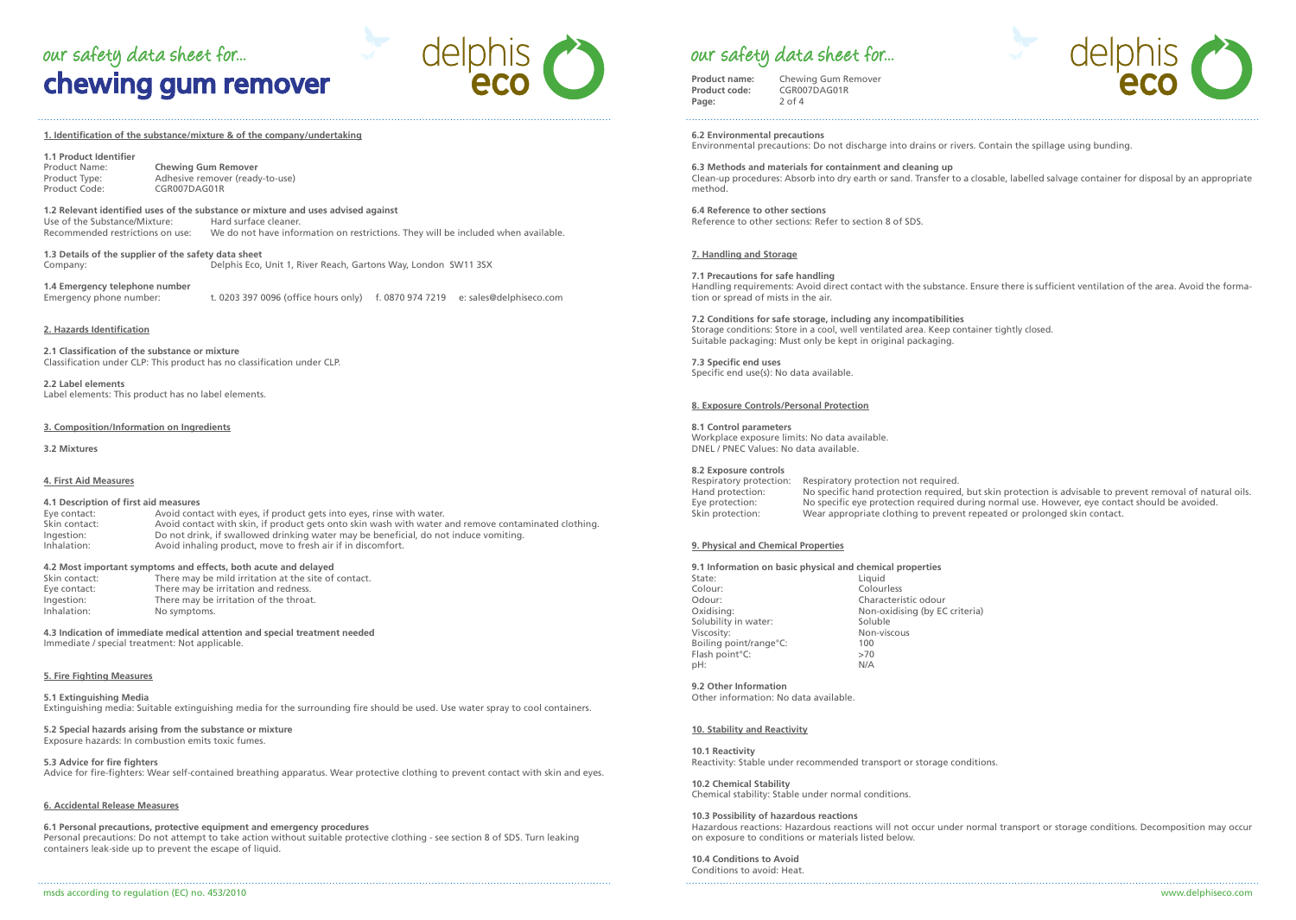# chewing gum remover our safety data sheet for...  $O\Theta\Box\Box S$  our safety data sheet for...



#### **1. Identification of the substance/mixture & of the company/undertaking**

## **1.1 Product Identifier**

Product Name: **Chewing Gum Remover** Product Type: Adhesive remover (ready-to-use)<br>Product Code: CGR007DAG01R Product Code: CGR007DAG01R

## **1.2 Relevant identified uses of the substance or mixture and uses advised against**

Use of the Substance/Mixture:<br>Recommended restrictions on use: We do not have information on restrictions. They will be included when available.

**1.3 Details of the supplier of the safety data sheet** Company: Delphis Eco, Unit 1, River Reach, Gartons Way, London SW11 3SX

**1.4 Emergency telephone number** t. 0203 397 0096 (office hours only) f. 0870 974 7219 e: sales@delphiseco.com

#### **2. Hazards Identification**

**2.1 Classification of the substance or mixture** Classification under CLP: This product has no classification under CLP.

**2.2 Label elements** Label elements: This product has no label elements.

#### **3. Composition/Information on Ingredients**

**3.2 Mixtures**

#### **4. First Aid Measures**

### **4.1 Description of first aid measures**

Eye contact: Avoid contact with eyes, if product gets into eyes, rinse with water.<br>Skin contact: Avoid contact with skin. if product gets onto skin wash with water a Avoid contact with skin, if product gets onto skin wash with water and remove contaminated clothing. Ingestion: Do not drink, if swallowed drinking water may be beneficial, do not induce vomiting.<br>
Inhalation: Avoid inhaling product, move to fresh air if in discomfort. Avoid inhaling product, move to fresh air if in discomfort.

#### **4.2 Most important symptoms and effects, both acute and delayed**

| Skin contact: | There may be mild irritation at the site of contact. |
|---------------|------------------------------------------------------|
| Eye contact:  | There may be irritation and redness.                 |
| Ingestion:    | There may be irritation of the throat.               |
| Inhalation:   | No symptoms.                                         |

**4.3 Indication of immediate medical attention and special treatment needed** Immediate / special treatment: Not applicable.

#### **5. Fire Fighting Measures**

### **5.1 Extinguishing Media**

Extinguishing media: Suitable extinguishing media for the surrounding fire should be used. Use water spray to cool containers.

**5.2 Special hazards arising from the substance or mixture** Exposure hazards: In combustion emits toxic fumes.

**5.3 Advice for fire fighters** Advice for fire-fighters: Wear self-contained breathing apparatus. Wear protective clothing to prevent contact with skin and eyes.

#### **6. Accidental Release Measures**

#### **6.1 Personal precautions, protective equipment and emergency procedures**

Personal precautions: Do not attempt to take action without suitable protective clothing - see section 8 of SDS. Turn leaking containers leak-side up to prevent the escape of liquid.

**Product name:** Chewing Gum Remover<br>**Product code:** CGR007DAG01R **Product code:** CGR007DAG01R **Page:** 2 of 4



**6.2 Environmental precautions** Environmental precautions: Do not discharge into drains or rivers. Contain the spillage using bunding.

**6.3 Methods and materials for containment and cleaning up** Clean-up procedures: Absorb into dry earth or sand. Transfer to a closable, labelled salvage container for disposal by an appropriate method.

#### **6.4 Reference to other sections** Reference to other sections: Refer to section 8 of SDS.

#### **7. Handling and Storage**

#### **7.1 Precautions for safe handling**

Handling requirements: Avoid direct contact with the substance. Ensure there is sufficient ventilation of the area. Avoid the formation or spread of mists in the air.

#### **7.2 Conditions for safe storage, including any incompatibilities**

Storage conditions: Store in a cool, well ventilated area. Keep container tightly closed. Suitable packaging: Must only be kept in original packaging.

**7.3 Specific end uses** Specific end use(s): No data available.

#### **8. Exposure Controls/Personal Protection**

#### **8.1 Control parameters**

Workplace exposure limits: No data available. DNEL / PNEC Values: No data available.

**8.2 Exposure controls** Respiratory protection: Respiratory protection not required. Hand protection: No specific hand protection required, but skin protection is advisable to prevent removal of natural oils.<br>Eve protection: No specific eve protection required during normal use. However, eve contact should Eye protection: No specific eye protection required during normal use. However, eye contact should be avoided.<br>Skin protection: Wear appropriate clothing to prevent repeated or prolonged skin contact. Wear appropriate clothing to prevent repeated or prolonged skin contact.

#### **9. Physical and Chemical Properties**

### **9.1 Information on basic physical and chemical properties**

| Liquid                         |
|--------------------------------|
| Colourless                     |
| Characteristic odour           |
| Non-oxidising (by EC criteria) |
| Soluble                        |
| Non-viscous                    |
| 100                            |
| >70                            |
| N/A                            |
|                                |

#### **9.2 Other Information**

Other information: No data available.

#### **10. Stability and Reactivity**

#### **10.1 Reactivity**

Reactivity: Stable under recommended transport or storage conditions.

**10.2 Chemical Stability** Chemical stability: Stable under normal conditions.

#### **10.3 Possibility of hazardous reactions**

Hazardous reactions: Hazardous reactions will not occur under normal transport or storage conditions. Decomposition may occur on exposure to conditions or materials listed below.

**10.4 Conditions to Avoid** Conditions to avoid: Heat.